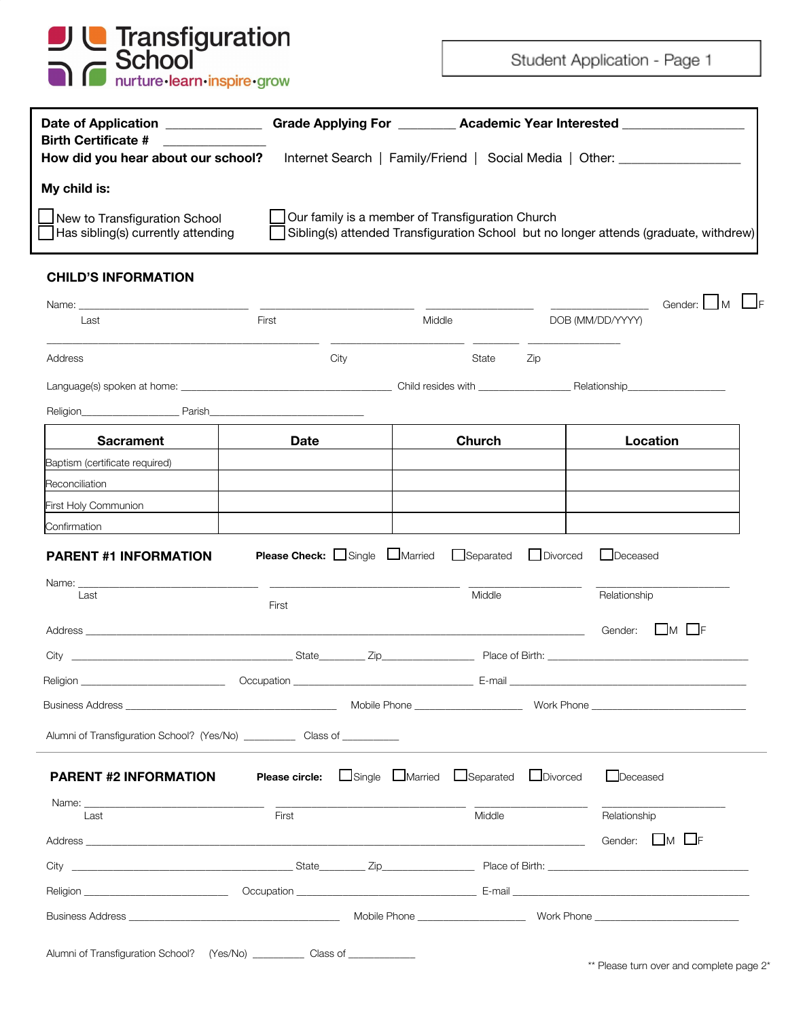

Student Application - Page 1

| <b>Date of Application</b>                | <b>Academic Year Interested</b>                                                       |  |  |  |
|-------------------------------------------|---------------------------------------------------------------------------------------|--|--|--|
| <b>Birth Certificate #</b>                | <b>Grade Applying For</b>                                                             |  |  |  |
| How did you hear about our school?        | Internet Search   Family/Friend   Social Media   Other:                               |  |  |  |
| My child is:                              |                                                                                       |  |  |  |
| New to Transfiguration School             | Our family is a member of Transfiguration Church                                      |  |  |  |
| $\Box$ Has sibling(s) currently attending | Sibling(s) attended Transfiguration School but no longer attends (graduate, withdrew) |  |  |  |

## **CHILD'S INFORMATION**

| Name:                                                                                                                                                                                                                          |                                                   |      |        |                          |          | Gender:<br>l M   |
|--------------------------------------------------------------------------------------------------------------------------------------------------------------------------------------------------------------------------------|---------------------------------------------------|------|--------|--------------------------|----------|------------------|
| Last                                                                                                                                                                                                                           | First                                             |      | Middle |                          |          | DOB (MM/DD/YYYY) |
| Address                                                                                                                                                                                                                        |                                                   | City |        | State                    | Zip      |                  |
| Language(s) spoken at home: www.community.community.community.community.community.community.community.community                                                                                                                |                                                   |      |        |                          |          |                  |
| Religion<br><b>Example 2</b> Parish                                                                                                                                                                                            |                                                   |      |        |                          |          |                  |
| <b>Sacrament</b>                                                                                                                                                                                                               | <b>Date</b>                                       |      |        | Church                   |          | Location         |
| Baptism (certificate required)                                                                                                                                                                                                 |                                                   |      |        |                          |          |                  |
| Reconciliation                                                                                                                                                                                                                 |                                                   |      |        |                          |          |                  |
| First Holy Communion                                                                                                                                                                                                           |                                                   |      |        |                          |          |                  |
| Confirmation<br><b>PARENT #1 INFORMATION</b>                                                                                                                                                                                   | <b>Please Check:</b> $\Box$ Single $\Box$ Married |      |        | Separated                | Divorced | Deceased         |
| Name:<br><u> 1980 - Jan Barbara Barbara, prima prima prima prima prima prima prima prima prima prima prima prima prima pri</u><br>Last                                                                                         |                                                   |      |        | Middle                   |          | Relationship     |
|                                                                                                                                                                                                                                | First                                             |      |        |                          |          |                  |
|                                                                                                                                                                                                                                |                                                   |      |        |                          |          | LMLF<br>Gender:  |
|                                                                                                                                                                                                                                |                                                   |      |        |                          |          |                  |
|                                                                                                                                                                                                                                |                                                   |      |        |                          |          |                  |
|                                                                                                                                                                                                                                |                                                   |      |        |                          |          |                  |
| Alumni of Transfiguration School? (Yes/No) ____________ Class of __________                                                                                                                                                    |                                                   |      |        |                          |          |                  |
| <b>PARENT #2 INFORMATION</b>                                                                                                                                                                                                   | Please circle:                                    |      |        | Single Married Separated | Divorced | Deceased         |
| Name:<br>Last                                                                                                                                                                                                                  | First                                             |      |        | Middle                   |          | Relationship     |
| Address and the contract of the contract of the contract of the contract of the contract of the contract of the contract of the contract of the contract of the contract of the contract of the contract of the contract of th |                                                   |      |        |                          |          | Gender: MLF      |
|                                                                                                                                                                                                                                |                                                   |      |        |                          |          |                  |
| Religion<br>the control of the control of the control of                                                                                                                                                                       |                                                   |      |        |                          |          |                  |
|                                                                                                                                                                                                                                |                                                   |      |        |                          |          |                  |
|                                                                                                                                                                                                                                |                                                   |      |        |                          |          |                  |